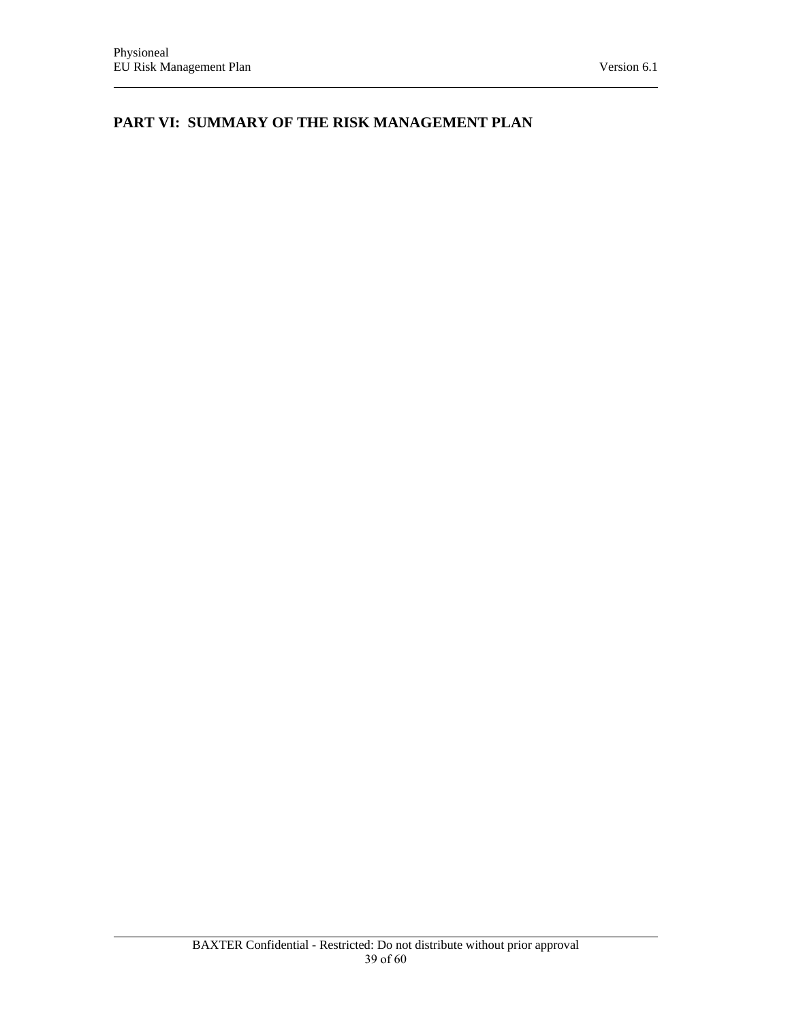**PART VI: SUMMARY OF THE RISK MANAGEMENT PLAN**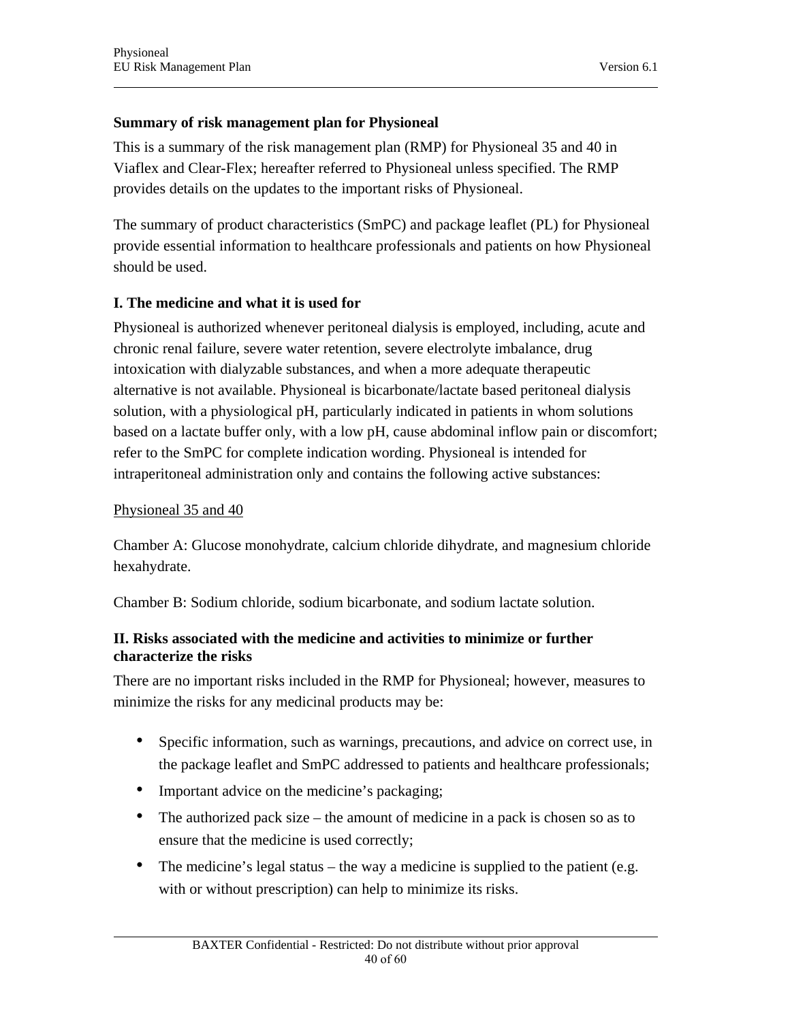# **Summary of risk management plan for Physioneal**

This is a summary of the risk management plan (RMP) for Physioneal 35 and 40 in Viaflex and Clear-Flex; hereafter referred to Physioneal unless specified. The RMP provides details on the updates to the important risks of Physioneal.

The summary of product characteristics (SmPC) and package leaflet (PL) for Physioneal provide essential information to healthcare professionals and patients on how Physioneal should be used.

# **I. The medicine and what it is used for**

Physioneal is authorized whenever peritoneal dialysis is employed, including, acute and chronic renal failure, severe water retention, severe electrolyte imbalance, drug intoxication with dialyzable substances, and when a more adequate therapeutic alternative is not available. Physioneal is bicarbonate/lactate based peritoneal dialysis solution, with a physiological pH, particularly indicated in patients in whom solutions based on a lactate buffer only, with a low pH, cause abdominal inflow pain or discomfort; refer to the SmPC for complete indication wording. Physioneal is intended for intraperitoneal administration only and contains the following active substances:

### Physioneal 35 and 40

Chamber A: Glucose monohydrate, calcium chloride dihydrate, and magnesium chloride hexahydrate.

Chamber B: Sodium chloride, sodium bicarbonate, and sodium lactate solution.

### **II. Risks associated with the medicine and activities to minimize or further characterize the risks**

There are no important risks included in the RMP for Physioneal; however, measures to minimize the risks for any medicinal products may be:

- Specific information, such as warnings, precautions, and advice on correct use, in the package leaflet and SmPC addressed to patients and healthcare professionals;
- Important advice on the medicine's packaging;
- The authorized pack size the amount of medicine in a pack is chosen so as to ensure that the medicine is used correctly;
- The medicine's legal status the way a medicine is supplied to the patient (e.g. with or without prescription) can help to minimize its risks.